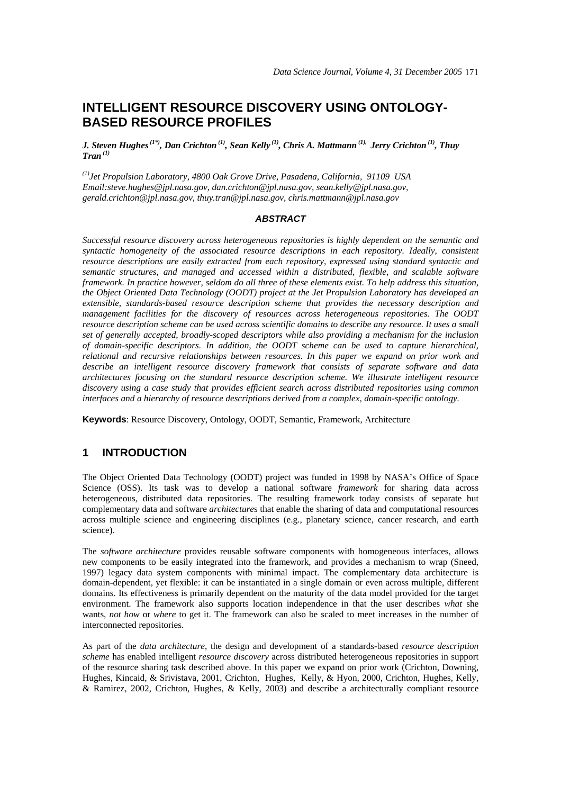# **INTELLIGENT RESOURCE DISCOVERY USING ONTOLOGY-BASED RESOURCE PROFILES**

*J. Steven Hughes (1\*), Dan Crichton (1), Sean Kelly (1), Chris A. Mattmann (1), Jerry Crichton (1), Thuy Tran (1)*

*(1)Jet Propulsion Laboratory, 4800 Oak Grove Drive, Pasadena, California, 91109 USA Email:steve.hughes@jpl.nasa.gov, dan.crichton@jpl.nasa.gov, sean.kelly@jpl.nasa.gov, gerald.crichton@jpl.nasa.gov, thuy.tran@jpl.nasa.gov, chris.mattmann@jpl.nasa.gov* 

### *ABSTRACT*

*Successful resource discovery across heterogeneous repositories is highly dependent on the semantic and syntactic homogeneity of the associated resource descriptions in each repository. Ideally, consistent resource descriptions are easily extracted from each repository, expressed using standard syntactic and semantic structures, and managed and accessed within a distributed, flexible, and scalable software framework. In practice however, seldom do all three of these elements exist. To help address this situation, the Object Oriented Data Technology (OODT) project at the Jet Propulsion Laboratory has developed an extensible, standards-based resource description scheme that provides the necessary description and management facilities for the discovery of resources across heterogeneous repositories. The OODT resource description scheme can be used across scientific domains to describe any resource. It uses a small set of generally accepted, broadly-scoped descriptors while also providing a mechanism for the inclusion of domain-specific descriptors. In addition, the OODT scheme can be used to capture hierarchical, relational and recursive relationships between resources. In this paper we expand on prior work and describe an intelligent resource discovery framework that consists of separate software and data architectures focusing on the standard resource description scheme. We illustrate intelligent resource discovery using a case study that provides efficient search across distributed repositories using common interfaces and a hierarchy of resource descriptions derived from a complex, domain-specific ontology.* 

**Keywords**: Resource Discovery, Ontology, OODT, Semantic, Framework, Architecture

### **1 INTRODUCTION**

The Object Oriented Data Technology (OODT) project was funded in 1998 by NASA's Office of Space Science (OSS). Its task was to develop a national software *framework* for sharing data across heterogeneous, distributed data repositories. The resulting framework today consists of separate but complementary data and software *architecture*s that enable the sharing of data and computational resources across multiple science and engineering disciplines (e.g., planetary science, cancer research, and earth science).

The *software architecture* provides reusable software components with homogeneous interfaces, allows new components to be easily integrated into the framework, and provides a mechanism to wrap (Sneed, 1997) legacy data system components with minimal impact. The complementary data architecture is domain-dependent, yet flexible: it can be instantiated in a single domain or even across multiple, different domains. Its effectiveness is primarily dependent on the maturity of the data model provided for the target environment. The framework also supports location independence in that the user describes *what* she wants, *not how* or *where* to get it. The framework can also be scaled to meet increases in the number of interconnected repositories.

As part of the *data architecture*, the design and development of a standards-based *resource description scheme* has enabled intelligent *resource discovery* across distributed heterogeneous repositories in support of the resource sharing task described above. In this paper we expand on prior work (Crichton, Downing, Hughes, Kincaid, & Srivistava, 2001, Crichton, Hughes, Kelly, & Hyon, 2000, Crichton, Hughes, Kelly, & Ramirez, 2002, Crichton, Hughes, & Kelly, 2003) and describe a architecturally compliant resource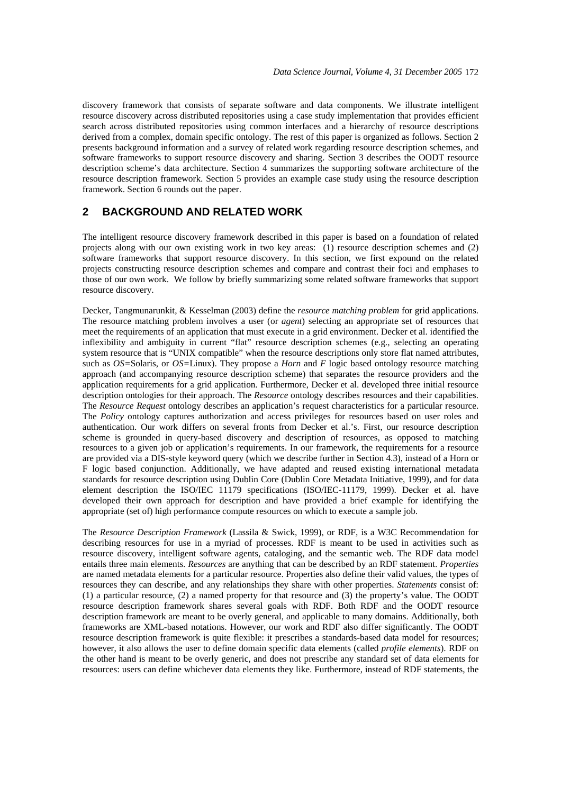discovery framework that consists of separate software and data components. We illustrate intelligent resource discovery across distributed repositories using a case study implementation that provides efficient search across distributed repositories using common interfaces and a hierarchy of resource descriptions derived from a complex, domain specific ontology. The rest of this paper is organized as follows. Section 2 presents background information and a survey of related work regarding resource description schemes, and software frameworks to support resource discovery and sharing. Section 3 describes the OODT resource description scheme's data architecture. Section 4 summarizes the supporting software architecture of the resource description framework. Section 5 provides an example case study using the resource description framework. Section 6 rounds out the paper.

## **2 BACKGROUND AND RELATED WORK**

The intelligent resource discovery framework described in this paper is based on a foundation of related projects along with our own existing work in two key areas: (1) resource description schemes and (2) software frameworks that support resource discovery. In this section, we first expound on the related projects constructing resource description schemes and compare and contrast their foci and emphases to those of our own work. We follow by briefly summarizing some related software frameworks that support resource discovery.

Decker, Tangmunarunkit, & Kesselman (2003) define the *resource matching problem* for grid applications. The resource matching problem involves a user (or *agent*) selecting an appropriate set of resources that meet the requirements of an application that must execute in a grid environment. Decker et al. identified the inflexibility and ambiguity in current "flat" resource description schemes (e.g., selecting an operating system resource that is "UNIX compatible" when the resource descriptions only store flat named attributes, such as *OS=*Solaris, or *OS=*Linux). They propose a *Horn* and *F* logic based ontology resource matching approach (and accompanying resource description scheme) that separates the resource providers and the application requirements for a grid application. Furthermore, Decker et al. developed three initial resource description ontologies for their approach. The *Resource* ontology describes resources and their capabilities. The *Resource Request* ontology describes an application's request characteristics for a particular resource. The *Policy* ontology captures authorization and access privileges for resources based on user roles and authentication. Our work differs on several fronts from Decker et al.'s. First, our resource description scheme is grounded in query-based discovery and description of resources, as opposed to matching resources to a given job or application's requirements. In our framework, the requirements for a resource are provided via a DIS-style keyword query (which we describe further in Section 4.3), instead of a Horn or F logic based conjunction. Additionally, we have adapted and reused existing international metadata standards for resource description using Dublin Core (Dublin Core Metadata Initiative, 1999), and for data element description the ISO/IEC 11179 specifications (ISO/IEC-11179, 1999). Decker et al. have developed their own approach for description and have provided a brief example for identifying the appropriate (set of) high performance compute resources on which to execute a sample job.

The *Resource Description Framework* (Lassila & Swick, 1999), or RDF, is a W3C Recommendation for describing resources for use in a myriad of processes. RDF is meant to be used in activities such as resource discovery, intelligent software agents, cataloging, and the semantic web. The RDF data model entails three main elements. *Resources* are anything that can be described by an RDF statement. *Properties* are named metadata elements for a particular resource. Properties also define their valid values, the types of resources they can describe, and any relationships they share with other properties. *Statements* consist of: (1) a particular resource, (2) a named property for that resource and (3) the property's value. The OODT resource description framework shares several goals with RDF. Both RDF and the OODT resource description framework are meant to be overly general, and applicable to many domains. Additionally, both frameworks are XML-based notations. However, our work and RDF also differ significantly. The OODT resource description framework is quite flexible: it prescribes a standards-based data model for resources; however, it also allows the user to define domain specific data elements (called *profile elements*). RDF on the other hand is meant to be overly generic, and does not prescribe any standard set of data elements for resources: users can define whichever data elements they like. Furthermore, instead of RDF statements, the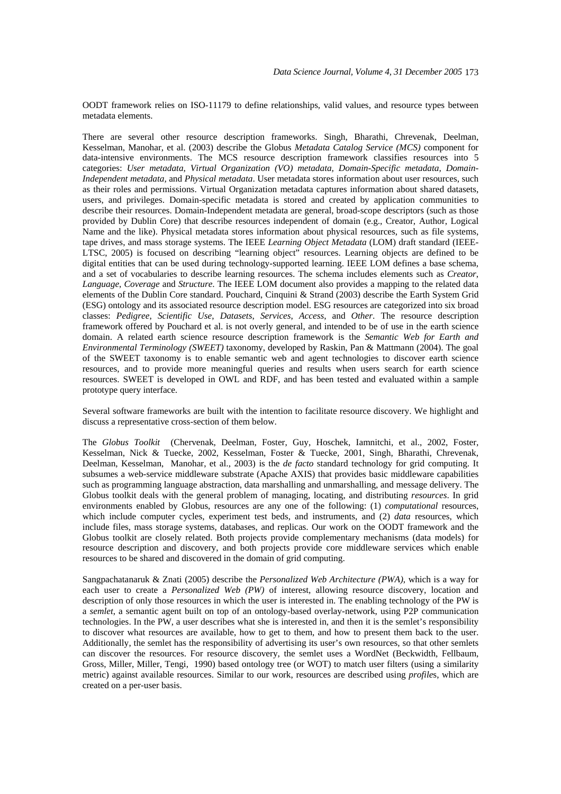OODT framework relies on ISO-11179 to define relationships, valid values, and resource types between metadata elements.

There are several other resource description frameworks. Singh, Bharathi, Chrevenak, Deelman, Kesselman, Manohar, et al. (2003) describe the Globus *Metadata Catalog Service (MCS)* component for data-intensive environments. The MCS resource description framework classifies resources into 5 categories: *User metadata*, *Virtual Organization (VO) metadata, Domain-Specific metadata, Domain-Independent metadata,* and *Physical metadata*. User metadata stores information about user resources, such as their roles and permissions. Virtual Organization metadata captures information about shared datasets, users, and privileges. Domain-specific metadata is stored and created by application communities to describe their resources. Domain-Independent metadata are general, broad-scope descriptors (such as those provided by Dublin Core) that describe resources independent of domain (e.g., Creator, Author, Logical Name and the like). Physical metadata stores information about physical resources, such as file systems, tape drives, and mass storage systems. The IEEE *Learning Object Metadata* (LOM) draft standard (IEEE-LTSC, 2005) is focused on describing "learning object" resources. Learning objects are defined to be digital entities that can be used during technology-supported learning. IEEE LOM defines a base schema, and a set of vocabularies to describe learning resources. The schema includes elements such as *Creator*, *Language*, *Coverage* and *Structure*. The IEEE LOM document also provides a mapping to the related data elements of the Dublin Core standard. Pouchard, Cinquini & Strand (2003) describe the Earth System Grid (ESG) ontology and its associated resource description model. ESG resources are categorized into six broad classes: *Pedigree*, *Scientific Use*, *Datasets*, *Services*, *Access*, and *Other*. The resource description framework offered by Pouchard et al. is not overly general, and intended to be of use in the earth science domain. A related earth science resource description framework is the *Semantic Web for Earth and Environmental Terminology (SWEET)* taxonomy, developed by Raskin, Pan & Mattmann (2004). The goal of the SWEET taxonomy is to enable semantic web and agent technologies to discover earth science resources, and to provide more meaningful queries and results when users search for earth science resources. SWEET is developed in OWL and RDF, and has been tested and evaluated within a sample prototype query interface.

Several software frameworks are built with the intention to facilitate resource discovery. We highlight and discuss a representative cross-section of them below.

The *Globus Toolkit* (Chervenak, Deelman, Foster, Guy, Hoschek, Iamnitchi, et al., 2002, Foster, Kesselman, Nick & Tuecke, 2002, Kesselman, Foster & Tuecke, 2001, Singh, Bharathi, Chrevenak, Deelman, Kesselman, Manohar, et al., 2003) is the *de facto* standard technology for grid computing. It subsumes a web-service middleware substrate (Apache AXIS) that provides basic middleware capabilities such as programming language abstraction, data marshalling and unmarshalling, and message delivery. The Globus toolkit deals with the general problem of managing, locating, and distributing *resources*. In grid environments enabled by Globus, resources are any one of the following: (1) *computational* resources, which include computer cycles, experiment test beds, and instruments, and (2) *data* resources, which include files, mass storage systems, databases, and replicas. Our work on the OODT framework and the Globus toolkit are closely related. Both projects provide complementary mechanisms (data models) for resource description and discovery, and both projects provide core middleware services which enable resources to be shared and discovered in the domain of grid computing.

Sangpachatanaruk & Znati (2005) describe the *Personalized Web Architecture (PWA)*, which is a way for each user to create a *Personalized Web (PW)* of interest, allowing resource discovery, location and description of only those resources in which the user is interested in. The enabling technology of the PW is a *semlet*, a semantic agent built on top of an ontology-based overlay-network, using P2P communication technologies. In the PW, a user describes what she is interested in, and then it is the semlet's responsibility to discover what resources are available, how to get to them, and how to present them back to the user. Additionally, the semlet has the responsibility of advertising its user's own resources, so that other semlets can discover the resources. For resource discovery, the semlet uses a WordNet (Beckwidth, Fellbaum, Gross, Miller, Miller, Tengi, 1990) based ontology tree (or WOT) to match user filters (using a similarity metric) against available resources. Similar to our work, resources are described using *profile*s, which are created on a per-user basis.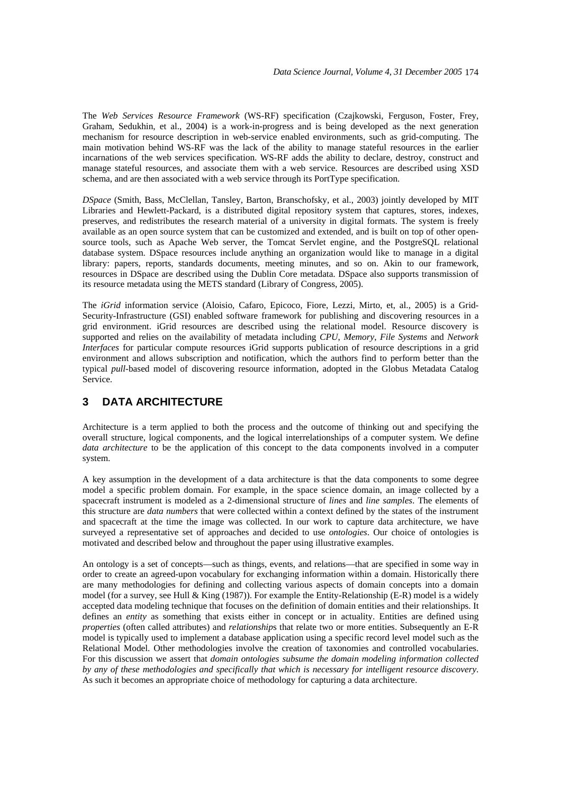The *Web Services Resource Framework* (WS-RF) specification (Czajkowski, Ferguson, Foster, Frey, Graham, Sedukhin, et al., 2004) is a work-in-progress and is being developed as the next generation mechanism for resource description in web-service enabled environments, such as grid-computing. The main motivation behind WS-RF was the lack of the ability to manage stateful resources in the earlier incarnations of the web services specification. WS-RF adds the ability to declare, destroy, construct and manage stateful resources, and associate them with a web service. Resources are described using XSD schema, and are then associated with a web service through its PortType specification.

*DSpace* (Smith, Bass, McClellan, Tansley, Barton, Branschofsky, et al., 2003) jointly developed by MIT Libraries and Hewlett-Packard, is a distributed digital repository system that captures, stores, indexes, preserves, and redistributes the research material of a university in digital formats. The system is freely available as an open source system that can be customized and extended, and is built on top of other opensource tools, such as Apache Web server, the Tomcat Servlet engine, and the PostgreSQL relational database system. DSpace resources include anything an organization would like to manage in a digital library: papers, reports, standards documents, meeting minutes, and so on. Akin to our framework, resources in DSpace are described using the Dublin Core metadata. DSpace also supports transmission of its resource metadata using the METS standard (Library of Congress, 2005).

The *iGrid* information service (Aloisio, Cafaro, Epicoco, Fiore, Lezzi, Mirto, et, al., 2005) is a Grid-Security-Infrastructure (GSI) enabled software framework for publishing and discovering resources in a grid environment. iGrid resources are described using the relational model. Resource discovery is supported and relies on the availability of metadata including *CPU*, *Memory*, *File Systems* and *Network Interfaces* for particular compute resources iGrid supports publication of resource descriptions in a grid environment and allows subscription and notification, which the authors find to perform better than the typical *pull*-based model of discovering resource information, adopted in the Globus Metadata Catalog Service.

# **3 DATA ARCHITECTURE**

Architecture is a term applied to both the process and the outcome of thinking out and specifying the overall structure, logical components, and the logical interrelationships of a computer system. We define *data architecture* to be the application of this concept to the data components involved in a computer system.

A key assumption in the development of a data architecture is that the data components to some degree model a specific problem domain. For example, in the space science domain, an image collected by a spacecraft instrument is modeled as a 2-dimensional structure of *lines* and *line samples*. The elements of this structure are *data numbers* that were collected within a context defined by the states of the instrument and spacecraft at the time the image was collected. In our work to capture data architecture, we have surveyed a representative set of approaches and decided to use *ontologies*. Our choice of ontologies is motivated and described below and throughout the paper using illustrative examples.

An ontology is a set of concepts—such as things, events, and relations—that are specified in some way in order to create an agreed-upon vocabulary for exchanging information within a domain. Historically there are many methodologies for defining and collecting various aspects of domain concepts into a domain model (for a survey, see Hull & King (1987)). For example the Entity-Relationship (E-R) model is a widely accepted data modeling technique that focuses on the definition of domain entities and their relationships. It defines an *entity* as something that exists either in concept or in actuality. Entities are defined using *properties* (often called attributes) and *relationship*s that relate two or more entities. Subsequently an E-R model is typically used to implement a database application using a specific record level model such as the Relational Model. Other methodologies involve the creation of taxonomies and controlled vocabularies. For this discussion we assert that *domain ontologies subsume the domain modeling information collected by any of these methodologies and specifically that which is necessary for intelligent resource discovery*. As such it becomes an appropriate choice of methodology for capturing a data architecture.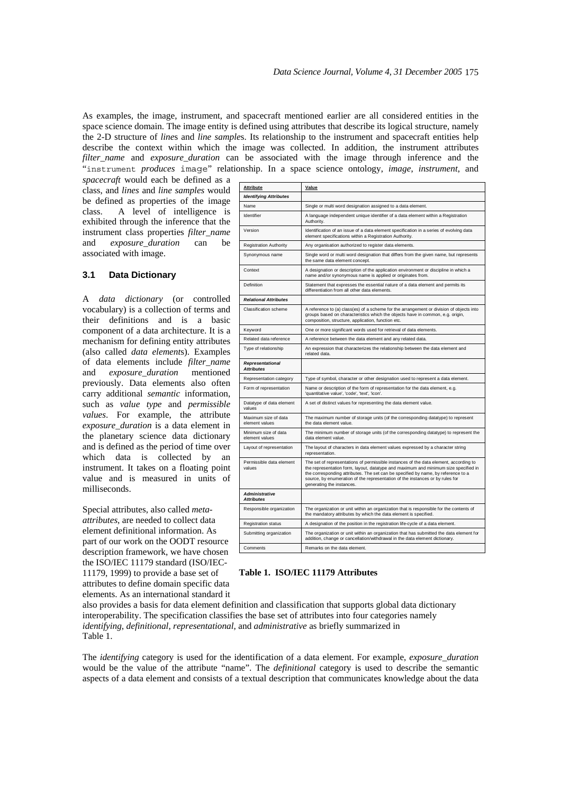As examples, the image, instrument, and spacecraft mentioned earlier are all considered entities in the space science domain. The image entity is defined using attributes that describe its logical structure, namely the 2-D structure of *line*s and *line sample*s. Its relationship to the instrument and spacecraft entities help describe the context within which the image was collected. In addition, the instrument attributes *filter\_name* and *exposure\_duration* can be associated with the image through inference and the "instrument *produces* image" relationship. In a space science ontology, *image*, *instrument*, and

*spacecraft* would each be defined as a class, and *lines* and *line samples* would be defined as properties of the image class. A level of intelligence is exhibited through the inference that the instrument class properties *filter\_name* and *exposure\_duration* can be associated with image.

### **3.1 Data Dictionary**

A *data dictionary* (or controlled vocabulary) is a collection of terms and their definitions and is a basic component of a data architecture. It is a mechanism for defining entity attributes (also called *data element*s). Examples of data elements include *filter\_name* and *exposure\_duration* mentioned previously. Data elements also often carry additional *semantic* information, such as *value type* and *permissible values*. For example, the attribute *exposure\_duration* is a data element in the planetary science data dictionary and is defined as the period of time over which data is collected by an instrument. It takes on a floating point value and is measured in units of milliseconds.

Special attributes, also called *metaattributes*, are needed to collect data element definitional information. As part of our work on the OODT resource description framework, we have chosen the ISO/IEC 11179 standard (ISO/IEC-11179, 1999) to provide a base set of attributes to define domain specific data

elements. As an international standard it

| <b>Attribute</b>                             | Value                                                                                                                                                                                                                                                                                                                                                                           |
|----------------------------------------------|---------------------------------------------------------------------------------------------------------------------------------------------------------------------------------------------------------------------------------------------------------------------------------------------------------------------------------------------------------------------------------|
| <b>Identifying Attributes</b>                |                                                                                                                                                                                                                                                                                                                                                                                 |
| Name                                         | Single or multi word designation assigned to a data element.                                                                                                                                                                                                                                                                                                                    |
| Identifier                                   | A language independent unique identifier of a data element within a Registration<br>Authority.                                                                                                                                                                                                                                                                                  |
| Version                                      | Identification of an issue of a data element specification in a series of evolving data<br>element specifications within a Registration Authority.                                                                                                                                                                                                                              |
| <b>Registration Authority</b>                | Any organisation authorized to register data elements.                                                                                                                                                                                                                                                                                                                          |
| Synonymous name                              | Single word or multi word designation that differs from the given name, but represents<br>the same data element concept.                                                                                                                                                                                                                                                        |
| Context                                      | A designation or description of the application environment or discipline in which a<br>name and/or synonymous name is applied or originates from.                                                                                                                                                                                                                              |
| Definition                                   | Statement that expresses the essential nature of a data element and permits its<br>differentiation from all other data elements.                                                                                                                                                                                                                                                |
| <b>Relational Attributes</b>                 |                                                                                                                                                                                                                                                                                                                                                                                 |
| Classification scheme                        | A reference to (a) class(es) of a scheme for the arrangement or division of objects into<br>groups based on characteristics which the objects have in common, e.g. origin,<br>composition, structure, application, function etc.                                                                                                                                                |
| Keyword                                      | One or more significant words used for retrieval of data elements.                                                                                                                                                                                                                                                                                                              |
| Related data reference                       | A reference between the data element and any related data.                                                                                                                                                                                                                                                                                                                      |
| Type of relationship                         | An expression that characterizes the relationship between the data element and<br>related data.                                                                                                                                                                                                                                                                                 |
| <b>Representational</b><br><b>Attributes</b> |                                                                                                                                                                                                                                                                                                                                                                                 |
| Representation category                      | Type of symbol, character or other designation used to represent a data element.                                                                                                                                                                                                                                                                                                |
| Form of representation                       | Name or description of the form of representation for the data element, e.g.<br>'quantitative value', 'code', 'text', 'icon'.                                                                                                                                                                                                                                                   |
| Datatype of data element<br>values           | A set of distinct values for representing the data element value.                                                                                                                                                                                                                                                                                                               |
| Maximum size of data<br>element values       | The maximum number of storage units (of the corresponding datatype) to represent<br>the data element value.                                                                                                                                                                                                                                                                     |
| Minimum size of data<br>element values       | The minimum number of storage units (of the corresponding datatype) to represent the<br>data element value.                                                                                                                                                                                                                                                                     |
| Layout of representation                     | The layout of characters in data element values expressed by a character string<br>representation.                                                                                                                                                                                                                                                                              |
| Permissible data element<br>values           | The set of representations of permissible instances of the data element, according to<br>the representation form, layout, datatype and maximum and minimum size specified in<br>the corresponding attributes. The set can be specified by name, by reference to a<br>source, by enumeration of the representation of the instances or by rules for<br>generating the instances. |
| <b>Administrative</b><br><b>Attributes</b>   |                                                                                                                                                                                                                                                                                                                                                                                 |
| Responsible organization                     | The organization or unit within an organization that is responsible for the contents of<br>the mandatory attributes by which the data element is specified.                                                                                                                                                                                                                     |
| <b>Registration status</b>                   | A designation of the position in the registration life-cycle of a data element.                                                                                                                                                                                                                                                                                                 |
| Submitting organization                      | The organization or unit within an organization that has submitted the data element for<br>addition, change or cancellation/withdrawal in the data element dictionary.                                                                                                                                                                                                          |
| Comments                                     | Remarks on the data element.                                                                                                                                                                                                                                                                                                                                                    |

**Table 1. ISO/IEC 11179 Attributes** 

also provides a basis for data element definition and classification that supports global data dictionary interoperability. The specification classifies the base set of attributes into four categories namely *identifying*, *definitional*, *representational*, and *administrative* as briefly summarized in Table 1.

The *identifying* category is used for the identification of a data element. For example, *exposure\_duration* would be the value of the attribute "name". The *definitional* category is used to describe the semantic aspects of a data element and consists of a textual description that communicates knowledge about the data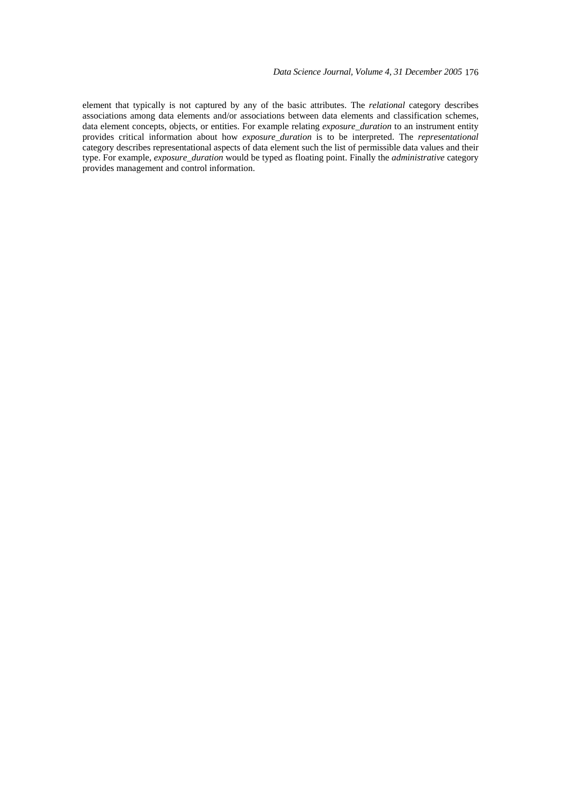element that typically is not captured by any of the basic attributes. The *relational* category describes associations among data elements and/or associations between data elements and classification schemes, data element concepts, objects, or entities. For example relating *exposure\_duration* to an instrument entity provides critical information about how *exposure\_duration* is to be interpreted. The *representational* category describes representational aspects of data element such the list of permissible data values and their type. For example, *exposure\_duration* would be typed as floating point. Finally the *administrative* category provides management and control information.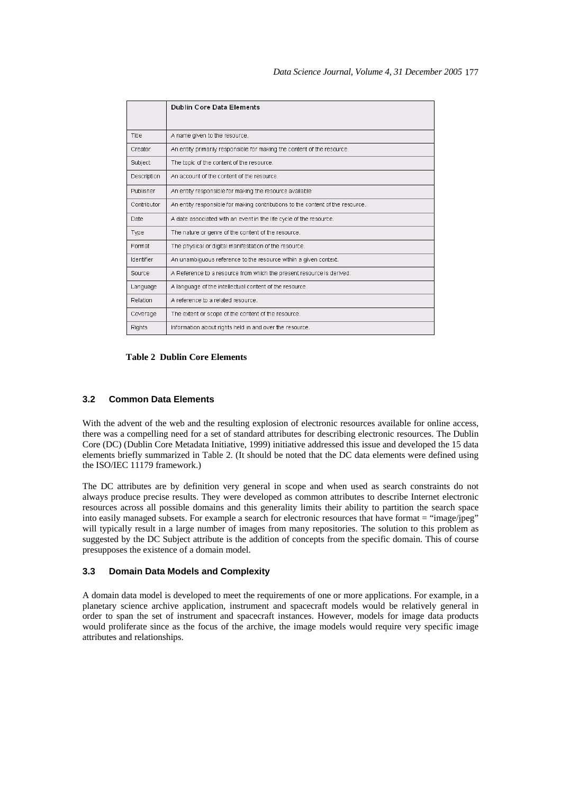|             | <b>Dublin Core Data Elements</b>                                               |
|-------------|--------------------------------------------------------------------------------|
| Title       | A name given to the resource.                                                  |
| Creator     | An entity primarily responsible for making the content of the resource.        |
| Subject     | The topic of the content of the resource.                                      |
| Description | An account of the content of the resource.                                     |
| Publisher   | An entity responsible for making the resource available                        |
| Contributor | An entity responsible for making contributions to the content of the resource. |
| Date        | A date associated with an event in the life cycle of the resource.             |
| Type        | The nature or genre of the content of the resource.                            |
| Format      | The physical or digital manifestation of the resource.                         |
| Identifier  | An unambiguous reference to the resource within a given context.               |
| Source      | A Reference to a resource from which the present resource is derived.          |
| Language    | A language of the intellectual content of the resource.                        |
| Relation    | A reference to a related resource.                                             |
| Coverage    | The extent or scope of the content of the resource.                            |
| Rights      | Information about rights held in and over the resource.                        |

### **Table 2 Dublin Core Elements**

### **3.2 Common Data Elements**

With the advent of the web and the resulting explosion of electronic resources available for online access, there was a compelling need for a set of standard attributes for describing electronic resources. The Dublin Core (DC) (Dublin Core Metadata Initiative, 1999) initiative addressed this issue and developed the 15 data elements briefly summarized in Table 2. (It should be noted that the DC data elements were defined using the ISO/IEC 11179 framework.)

The DC attributes are by definition very general in scope and when used as search constraints do not always produce precise results. They were developed as common attributes to describe Internet electronic resources across all possible domains and this generality limits their ability to partition the search space into easily managed subsets. For example a search for electronic resources that have format = "image/jpeg" will typically result in a large number of images from many repositories. The solution to this problem as suggested by the DC Subject attribute is the addition of concepts from the specific domain. This of course presupposes the existence of a domain model.

### **3.3 Domain Data Models and Complexity**

A domain data model is developed to meet the requirements of one or more applications. For example, in a planetary science archive application, instrument and spacecraft models would be relatively general in order to span the set of instrument and spacecraft instances. However, models for image data products would proliferate since as the focus of the archive, the image models would require very specific image attributes and relationships.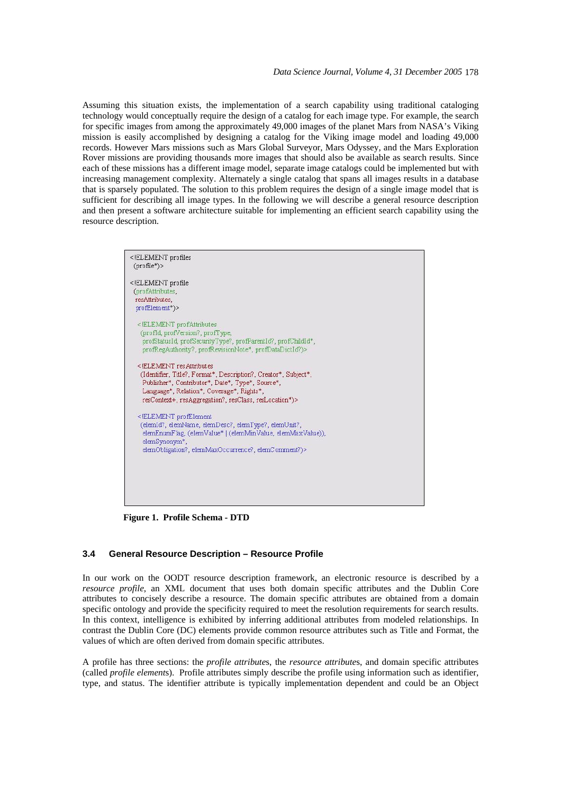Assuming this situation exists, the implementation of a search capability using traditional cataloging technology would conceptually require the design of a catalog for each image type. For example, the search for specific images from among the approximately 49,000 images of the planet Mars from NASA's Viking mission is easily accomplished by designing a catalog for the Viking image model and loading 49,000 records. However Mars missions such as Mars Global Surveyor, Mars Odyssey, and the Mars Exploration Rover missions are providing thousands more images that should also be available as search results. Since each of these missions has a different image model, separate image catalogs could be implemented but with increasing management complexity. Alternately a single catalog that spans all images results in a database that is sparsely populated. The solution to this problem requires the design of a single image model that is sufficient for describing all image types. In the following we will describe a general resource description and then present a software architecture suitable for implementing an efficient search capability using the resource description.

| $(\text{profile}^*)$<br>ELEMENT profile<br (profAttributes,<br>resAttributes.<br>profElement*)><br>ELEMENT profAttributes</th |
|-------------------------------------------------------------------------------------------------------------------------------|
|                                                                                                                               |
|                                                                                                                               |
|                                                                                                                               |
|                                                                                                                               |
|                                                                                                                               |
|                                                                                                                               |
| (profid, profVersion?, profType,                                                                                              |
| profStatusId, profSecurityType?, profParentId?, profChildId*,                                                                 |
| profRegAuthority?, profRevisionNote*, profDataDictId?)>                                                                       |
| ELEMENT resAttributes</td                                                                                                     |
| (Identifier, Title?, Format*, Description?, Creator*, Subject*,                                                               |
| Publisher*, Contributor*, Date*, Type*, Source*,                                                                              |
| Language*, Relation*, Coverage*, Rights*,                                                                                     |
| resContext+, resAggregation?, resClass, resLocation*)>                                                                        |
| ELEMENT profElement</td                                                                                                       |
| (elemId?, elemName, elemDesc?, elemType?, elemUnit?,                                                                          |
| elemEnumFlag, (elemValue*   (elemMinValue, elemMaxValue)),                                                                    |
| elemSynonym*.                                                                                                                 |
| elemObligation?, elemMaxOccurrence?, elemComment?)>                                                                           |
|                                                                                                                               |
|                                                                                                                               |
|                                                                                                                               |
|                                                                                                                               |
|                                                                                                                               |

**Figure 1. Profile Schema - DTD** 

### **3.4 General Resource Description – Resource Profile**

In our work on the OODT resource description framework, an electronic resource is described by a *resource profile*, an XML document that uses both domain specific attributes and the Dublin Core attributes to concisely describe a resource. The domain specific attributes are obtained from a domain specific ontology and provide the specificity required to meet the resolution requirements for search results. In this context, intelligence is exhibited by inferring additional attributes from modeled relationships. In contrast the Dublin Core (DC) elements provide common resource attributes such as Title and Format, the values of which are often derived from domain specific attributes.

A profile has three sections: the *profile attribute*s, the *resource attribute*s, and domain specific attributes (called *profile element*s). Profile attributes simply describe the profile using information such as identifier, type, and status. The identifier attribute is typically implementation dependent and could be an Object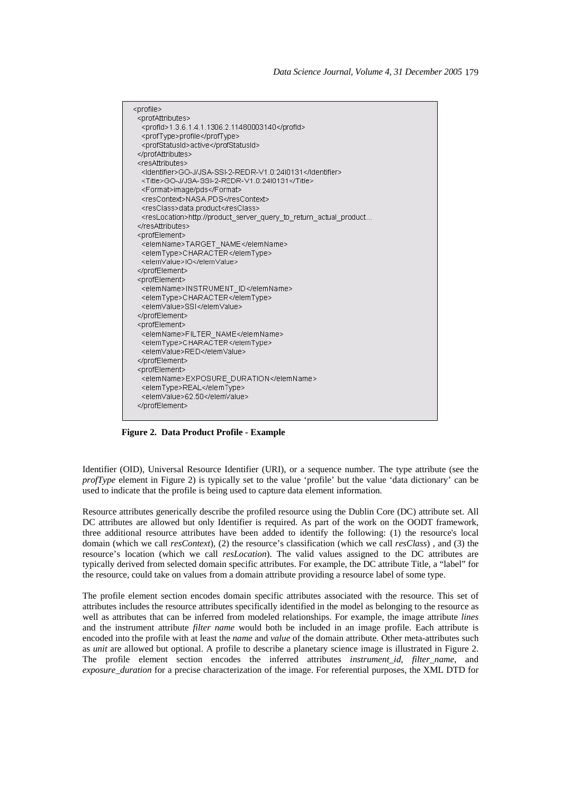

**Figure 2. Data Product Profile - Example** 

Identifier (OID), Universal Resource Identifier (URI), or a sequence number. The type attribute (see the *profType* element in Figure 2) is typically set to the value 'profile' but the value 'data dictionary' can be used to indicate that the profile is being used to capture data element information.

Resource attributes generically describe the profiled resource using the Dublin Core (DC) attribute set. All DC attributes are allowed but only Identifier is required. As part of the work on the OODT framework, three additional resource attributes have been added to identify the following: (1) the resource's local domain (which we call *resContext*), (2) the resource's classification (which we call *resClass*) , and (3) the resource's location (which we call *resLocation*). The valid values assigned to the DC attributes are typically derived from selected domain specific attributes. For example, the DC attribute Title, a "label" for the resource, could take on values from a domain attribute providing a resource label of some type.

The profile element section encodes domain specific attributes associated with the resource. This set of attributes includes the resource attributes specifically identified in the model as belonging to the resource as well as attributes that can be inferred from modeled relationships. For example, the image attribute *lines* and the instrument attribute *filter name* would both be included in an image profile. Each attribute is encoded into the profile with at least the *name* and *value* of the domain attribute. Other meta-attributes such as *unit* are allowed but optional. A profile to describe a planetary science image is illustrated in Figure 2. The profile element section encodes the inferred attributes *instrument id, filter name*, and *exposure\_duration* for a precise characterization of the image. For referential purposes, the XML DTD for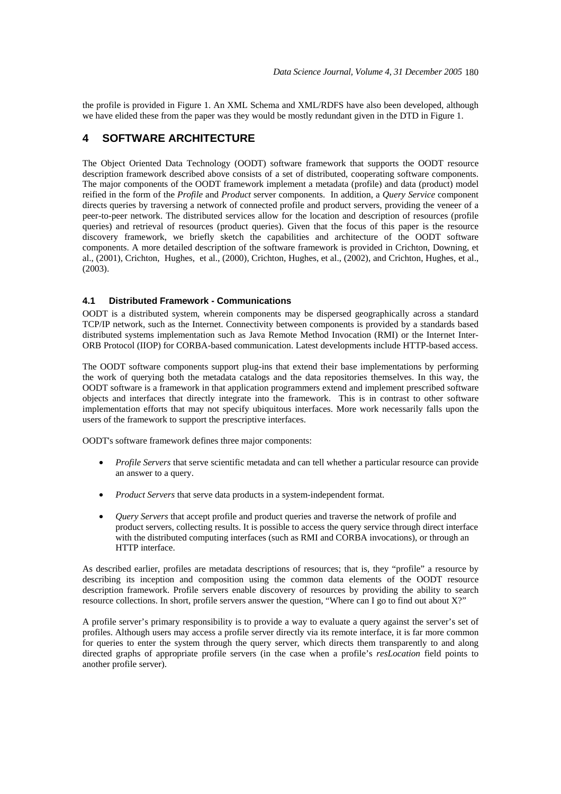the profile is provided in Figure 1. An XML Schema and XML/RDFS have also been developed, although we have elided these from the paper was they would be mostly redundant given in the DTD in Figure 1.

### **4 SOFTWARE ARCHITECTURE**

The Object Oriented Data Technology (OODT) software framework that supports the OODT resource description framework described above consists of a set of distributed, cooperating software components. The major components of the OODT framework implement a metadata (profile) and data (product) model reified in the form of the *Profile* and *Product* server components. In addition, a *Query Service* component directs queries by traversing a network of connected profile and product servers, providing the veneer of a peer-to-peer network. The distributed services allow for the location and description of resources (profile queries) and retrieval of resources (product queries). Given that the focus of this paper is the resource discovery framework, we briefly sketch the capabilities and architecture of the OODT software components. A more detailed description of the software framework is provided in Crichton, Downing, et al., (2001), Crichton, Hughes, et al., (2000), Crichton, Hughes, et al., (2002), and Crichton, Hughes, et al., (2003).

### **4.1 Distributed Framework - Communications**

OODT is a distributed system, wherein components may be dispersed geographically across a standard TCP/IP network, such as the Internet. Connectivity between components is provided by a standards based distributed systems implementation such as Java Remote Method Invocation (RMI) or the Internet Inter-ORB Protocol (IIOP) for CORBA-based communication. Latest developments include HTTP-based access.

The OODT software components support plug-ins that extend their base implementations by performing the work of querying both the metadata catalogs and the data repositories themselves. In this way, the OODT software is a framework in that application programmers extend and implement prescribed software objects and interfaces that directly integrate into the framework. This is in contrast to other software implementation efforts that may not specify ubiquitous interfaces. More work necessarily falls upon the users of the framework to support the prescriptive interfaces.

OODT's software framework defines three major components:

- *Profile Servers* that serve scientific metadata and can tell whether a particular resource can provide an answer to a query.
- *Product Servers* that serve data products in a system-independent format.
- *Query Servers* that accept profile and product queries and traverse the network of profile and product servers, collecting results. It is possible to access the query service through direct interface with the distributed computing interfaces (such as RMI and CORBA invocations), or through an HTTP interface.

As described earlier, profiles are metadata descriptions of resources; that is, they "profile" a resource by describing its inception and composition using the common data elements of the OODT resource description framework. Profile servers enable discovery of resources by providing the ability to search resource collections. In short, profile servers answer the question, "Where can I go to find out about X?"

A profile server's primary responsibility is to provide a way to evaluate a query against the server's set of profiles. Although users may access a profile server directly via its remote interface, it is far more common for queries to enter the system through the query server, which directs them transparently to and along directed graphs of appropriate profile servers (in the case when a profile's *resLocation* field points to another profile server).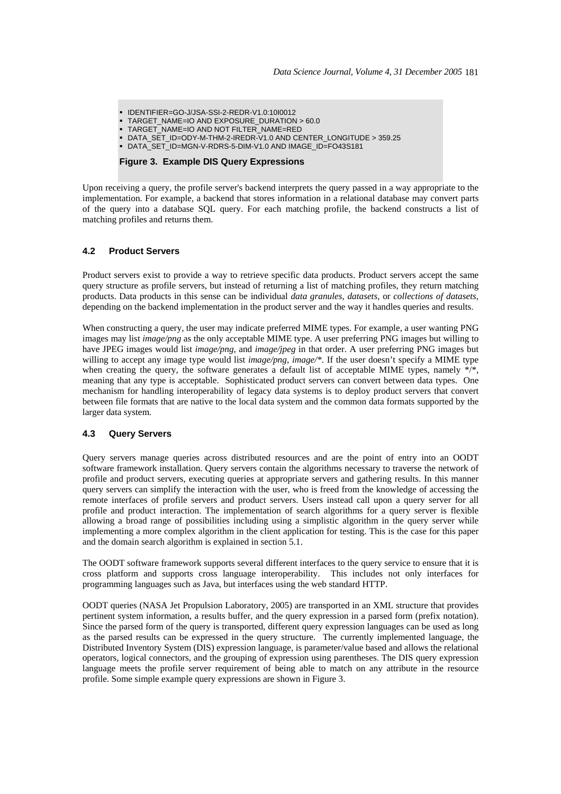- IDENTIFIER=GO-J/JSA-SSI-2-REDR-V1.0:10I0012
- TARGET\_NAME=IO AND EXPOSURE\_DURATION > 60.0
- TARGET\_NAME=IO AND NOT FILTER\_NAME=RED
- DATA\_SET\_ID=ODY-M-THM-2-IREDR-V1.0 AND CENTER\_LONGITUDE > 359.25
- DATA\_SET\_ID=MGN-V-RDRS-5-DIM-V1.0 AND IMAGE\_ID=FO43S181

### **Figure 3. Example DIS Query Expressions**

Upon receiving a query, the profile server's backend interprets the query passed in a way appropriate to the implementation. For example, a backend that stores information in a relational database may convert parts of the query into a database SQL query. For each matching profile, the backend constructs a list of matching profiles and returns them.

#### **4.2 Product Servers**

Product servers exist to provide a way to retrieve specific data products. Product servers accept the same query structure as profile servers, but instead of returning a list of matching profiles, they return matching products. Data products in this sense can be individual *data granules*, *datasets*, or *collections of datasets*, depending on the backend implementation in the product server and the way it handles queries and results.

When constructing a query, the user may indicate preferred MIME types. For example, a user wanting PNG images may list *image/png* as the only acceptable MIME type. A user preferring PNG images but willing to have JPEG images would list *image/png*, and *image/jpeg* in that order. A user preferring PNG images but willing to accept any image type would list *image/png*, *image/\**. If the user doesn't specify a MIME type when creating the query, the software generates a default list of acceptable MIME types, namely  $\frac{k}{r}$ . meaning that any type is acceptable. Sophisticated product servers can convert between data types. One mechanism for handling interoperability of legacy data systems is to deploy product servers that convert between file formats that are native to the local data system and the common data formats supported by the larger data system.

### **4.3 Query Servers**

Query servers manage queries across distributed resources and are the point of entry into an OODT software framework installation. Query servers contain the algorithms necessary to traverse the network of profile and product servers, executing queries at appropriate servers and gathering results. In this manner query servers can simplify the interaction with the user, who is freed from the knowledge of accessing the remote interfaces of profile servers and product servers. Users instead call upon a query server for all profile and product interaction. The implementation of search algorithms for a query server is flexible allowing a broad range of possibilities including using a simplistic algorithm in the query server while implementing a more complex algorithm in the client application for testing. This is the case for this paper and the domain search algorithm is explained in section 5.1.

The OODT software framework supports several different interfaces to the query service to ensure that it is cross platform and supports cross language interoperability. This includes not only interfaces for programming languages such as Java, but interfaces using the web standard HTTP.

OODT queries (NASA Jet Propulsion Laboratory, 2005) are transported in an XML structure that provides pertinent system information, a results buffer, and the query expression in a parsed form (prefix notation). Since the parsed form of the query is transported, different query expression languages can be used as long as the parsed results can be expressed in the query structure. The currently implemented language, the Distributed Inventory System (DIS) expression language, is parameter/value based and allows the relational operators, logical connectors, and the grouping of expression using parentheses. The DIS query expression language meets the profile server requirement of being able to match on any attribute in the resource profile. Some simple example query expressions are shown in Figure 3.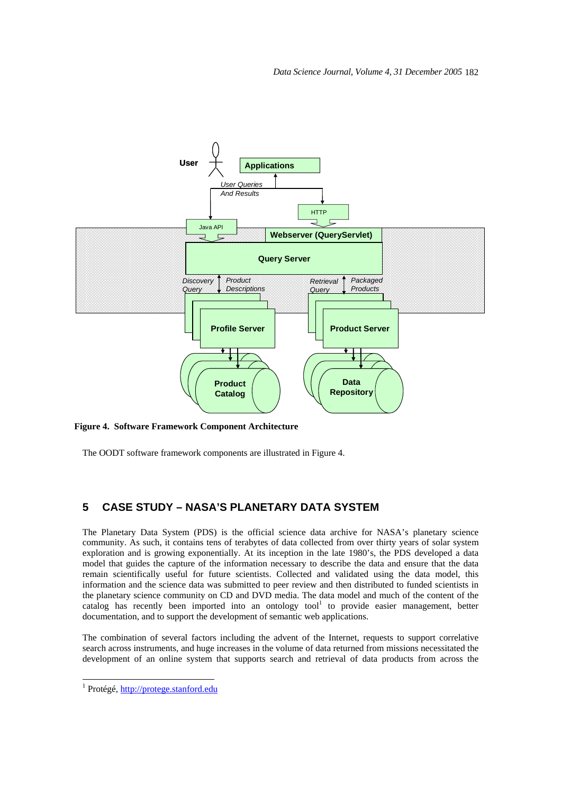

**Figure 4. Software Framework Component Architecture** 

The OODT software framework components are illustrated in Figure 4.

# **5 CASE STUDY – NASA'S PLANETARY DATA SYSTEM**

The Planetary Data System (PDS) is the official science data archive for NASA's planetary science community. As such, it contains tens of terabytes of data collected from over thirty years of solar system exploration and is growing exponentially. At its inception in the late 1980's, the PDS developed a data model that guides the capture of the information necessary to describe the data and ensure that the data remain scientifically useful for future scientists. Collected and validated using the data model, this information and the science data was submitted to peer review and then distributed to funded scientists in the planetary science community on CD and DVD media. The data model and much of the content of the catalog has recently been imported into an ontology tool<sup>1</sup> to provide easier management, better documentation, and to support the development of semantic web applications.

The combination of several factors including the advent of the Internet, requests to support correlative search across instruments, and huge increases in the volume of data returned from missions necessitated the development of an online system that supports search and retrieval of data products from across the

 $\overline{a}$ 

<sup>&</sup>lt;sup>1</sup> Protégé, http://protege.stanford.edu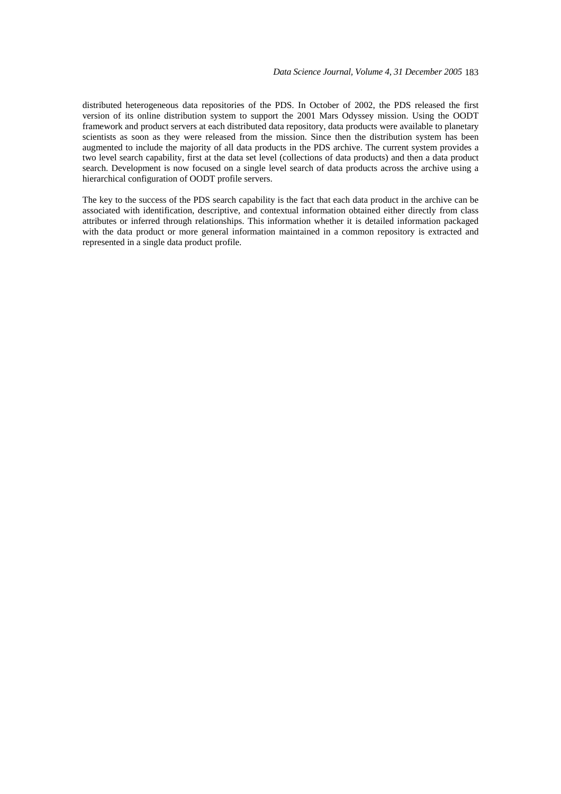distributed heterogeneous data repositories of the PDS. In October of 2002, the PDS released the first version of its online distribution system to support the 2001 Mars Odyssey mission. Using the OODT framework and product servers at each distributed data repository, data products were available to planetary scientists as soon as they were released from the mission. Since then the distribution system has been augmented to include the majority of all data products in the PDS archive. The current system provides a two level search capability, first at the data set level (collections of data products) and then a data product search. Development is now focused on a single level search of data products across the archive using a hierarchical configuration of OODT profile servers.

The key to the success of the PDS search capability is the fact that each data product in the archive can be associated with identification, descriptive, and contextual information obtained either directly from class attributes or inferred through relationships. This information whether it is detailed information packaged with the data product or more general information maintained in a common repository is extracted and represented in a single data product profile.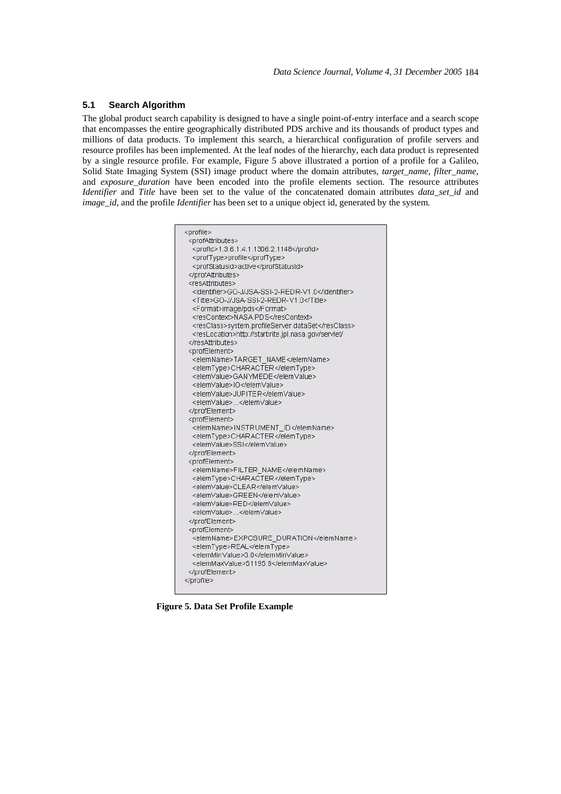### **5.1 Search Algorithm**

The global product search capability is designed to have a single point-of-entry interface and a search scope that encompasses the entire geographically distributed PDS archive and its thousands of product types and millions of data products. To implement this search, a hierarchical configuration of profile servers and resource profiles has been implemented. At the leaf nodes of the hierarchy, each data product is represented by a single resource profile. For example, Figure 5 above illustrated a portion of a profile for a Galileo, Solid State Imaging System (SSI) image product where the domain attributes, *target name*, *filter name*, and *exposure\_duration* have been encoded into the profile elements section. The resource attributes *Identifier* and *Title* have been set to the value of the concatenated domain attributes *data\_set\_id* and *image id*, and the profile *Identifier* has been set to a unique object id, generated by the system.



**Figure 5. Data Set Profile Example**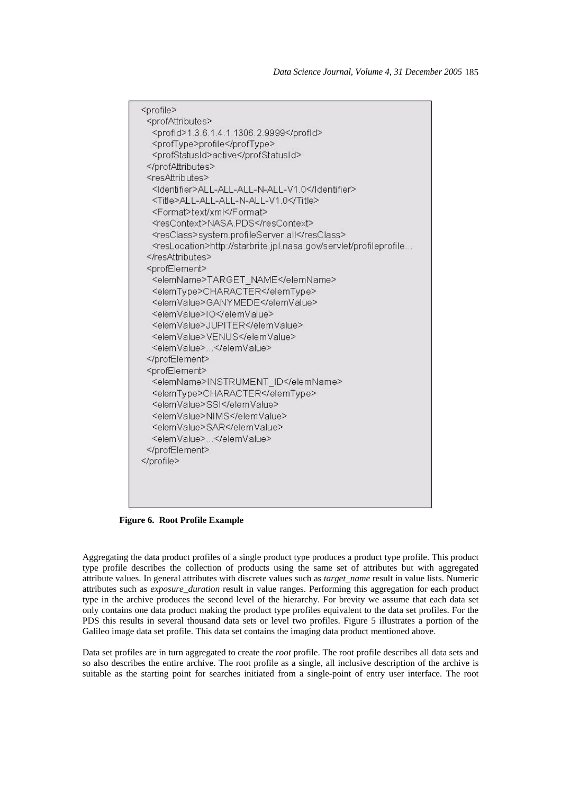| <profile></profile>                                                             |
|---------------------------------------------------------------------------------|
| <profattributes></profattributes>                                               |
| <profid>1.3.6.1.4.1.1306.2.9999</profid>                                        |
| <proftype>profile</proftype>                                                    |
| <profstatusid>active</profstatusid>                                             |
|                                                                                 |
| <resattributes></resattributes>                                                 |
| <ldentifier>ALL-ALL-ALL-N-ALL-V1.0</ldentifier>                                 |
| <title>ALL-ALL-ALL-N-ALL-V1.0</title>                                           |
| <format>text/xml</format>                                                       |
| <rescontext>NASA.PDS</rescontext>                                               |
| <resclass>system.profileServer.all</resclass>                                   |
| <reslocation>http://starbrite.jpl.nasa.gov/servlet/profileprofile</reslocation> |
|                                                                                 |
| <profelement></profelement>                                                     |
| <elemname>TARGET_NAME</elemname>                                                |
| <elemtype>CHARACTER</elemtype>                                                  |
| <elemvalue>GANYMEDE</elemvalue>                                                 |
| <elemvalue>IO</elemvalue>                                                       |
| <elemvalue>JUPITER</elemvalue>                                                  |
| <elemvalue>VENUS</elemvalue>                                                    |
| <elemvalue></elemvalue>                                                         |
|                                                                                 |
| <profelement></profelement>                                                     |
| <elemname>INSTRUMENT_ID</elemname>                                              |
| <elemtype>CHARACTER</elemtype>                                                  |
| <elemvalue>SSI</elemvalue>                                                      |
| <elemvalue>NIMS</elemvalue>                                                     |
| <elemvalue>SAR</elemvalue>                                                      |
| <elemvalue></elemvalue>                                                         |
|                                                                                 |
|                                                                                 |
|                                                                                 |
|                                                                                 |
|                                                                                 |
|                                                                                 |

**Figure 6. Root Profile Example** 

Aggregating the data product profiles of a single product type produces a product type profile. This product type profile describes the collection of products using the same set of attributes but with aggregated attribute values. In general attributes with discrete values such as *target\_name* result in value lists. Numeric attributes such as *exposure\_duration* result in value ranges. Performing this aggregation for each product type in the archive produces the second level of the hierarchy. For brevity we assume that each data set only contains one data product making the product type profiles equivalent to the data set profiles. For the PDS this results in several thousand data sets or level two profiles. Figure 5 illustrates a portion of the Galileo image data set profile. This data set contains the imaging data product mentioned above.

Data set profiles are in turn aggregated to create the *root* profile. The root profile describes all data sets and so also describes the entire archive. The root profile as a single, all inclusive description of the archive is suitable as the starting point for searches initiated from a single-point of entry user interface. The root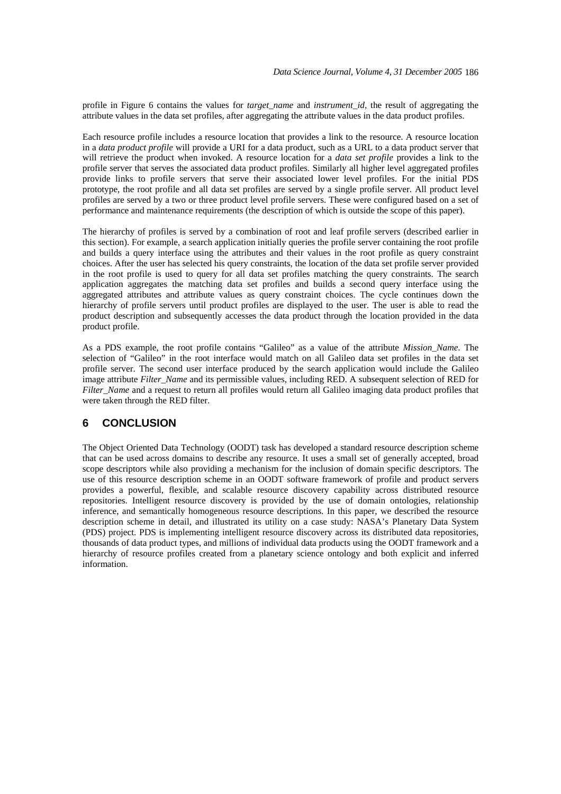profile in Figure 6 contains the values for *target\_name* and *instrument\_id,* the result of aggregating the attribute values in the data set profiles, after aggregating the attribute values in the data product profiles.

Each resource profile includes a resource location that provides a link to the resource. A resource location in a *data product profile* will provide a URI for a data product, such as a URL to a data product server that will retrieve the product when invoked. A resource location for a *data set profile* provides a link to the profile server that serves the associated data product profiles. Similarly all higher level aggregated profiles provide links to profile servers that serve their associated lower level profiles. For the initial PDS prototype, the root profile and all data set profiles are served by a single profile server. All product level profiles are served by a two or three product level profile servers. These were configured based on a set of performance and maintenance requirements (the description of which is outside the scope of this paper).

The hierarchy of profiles is served by a combination of root and leaf profile servers (described earlier in this section). For example, a search application initially queries the profile server containing the root profile and builds a query interface using the attributes and their values in the root profile as query constraint choices. After the user has selected his query constraints, the location of the data set profile server provided in the root profile is used to query for all data set profiles matching the query constraints. The search application aggregates the matching data set profiles and builds a second query interface using the aggregated attributes and attribute values as query constraint choices. The cycle continues down the hierarchy of profile servers until product profiles are displayed to the user. The user is able to read the product description and subsequently accesses the data product through the location provided in the data product profile.

As a PDS example, the root profile contains "Galileo" as a value of the attribute *Mission\_Name*. The selection of "Galileo" in the root interface would match on all Galileo data set profiles in the data set profile server. The second user interface produced by the search application would include the Galileo image attribute *Filter\_Name* and its permissible values, including RED. A subsequent selection of RED for *Filter\_Name* and a request to return all profiles would return all Galileo imaging data product profiles that were taken through the RED filter.

# **6 CONCLUSION**

The Object Oriented Data Technology (OODT) task has developed a standard resource description scheme that can be used across domains to describe any resource. It uses a small set of generally accepted, broad scope descriptors while also providing a mechanism for the inclusion of domain specific descriptors. The use of this resource description scheme in an OODT software framework of profile and product servers provides a powerful, flexible, and scalable resource discovery capability across distributed resource repositories. Intelligent resource discovery is provided by the use of domain ontologies, relationship inference, and semantically homogeneous resource descriptions. In this paper, we described the resource description scheme in detail, and illustrated its utility on a case study: NASA's Planetary Data System (PDS) project. PDS is implementing intelligent resource discovery across its distributed data repositories, thousands of data product types, and millions of individual data products using the OODT framework and a hierarchy of resource profiles created from a planetary science ontology and both explicit and inferred information.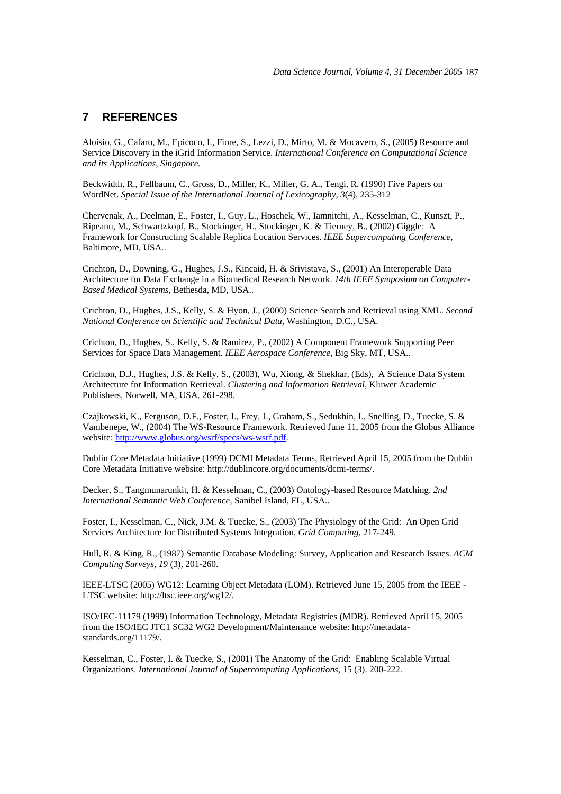### **7 REFERENCES**

Aloisio, G., Cafaro, M., Epicoco, I., Fiore, S., Lezzi, D., Mirto, M. & Mocavero, S., (2005) Resource and Service Discovery in the iGrid Information Service. *International Conference on Computational Science and its Applications, Singapore.*

Beckwidth, R., Fellbaum, C., Gross, D., Miller, K., Miller, G. A., Tengi, R. (1990) Five Papers on WordNet. *Special Issue of the International Journal of Lexicography, 3*(4), 235-312

Chervenak, A., Deelman, E., Foster, I., Guy, L., Hoschek, W., Iamnitchi, A., Kesselman, C., Kunszt, P., Ripeanu, M., Schwartzkopf, B., Stockinger, H., Stockinger, K. & Tierney, B., (2002) Giggle: A Framework for Constructing Scalable Replica Location Services. *IEEE Supercomputing Conference*, Baltimore, MD, USA..

Crichton, D., Downing, G., Hughes, J.S., Kincaid, H. & Srivistava, S., (2001) An Interoperable Data Architecture for Data Exchange in a Biomedical Research Network. *14th IEEE Symposium on Computer-Based Medical Systems,* Bethesda, MD, USA..

Crichton, D., Hughes, J.S., Kelly, S. & Hyon, J., (2000) Science Search and Retrieval using XML. *Second National Conference on Scientific and Technical Data*, Washington, D.C., USA.

Crichton, D., Hughes, S., Kelly, S. & Ramirez, P., (2002) A Component Framework Supporting Peer Services for Space Data Management. *IEEE Aerospace Conference*, Big Sky, MT, USA..

Crichton, D.J., Hughes, J.S. & Kelly, S., (2003), Wu, Xiong, & Shekhar, (Eds), A Science Data System Architecture for Information Retrieval. *Clustering and Information Retrieval*, Kluwer Academic Publishers, Norwell, MA, USA. 261-298.

Czajkowski, K., Ferguson, D.F., Foster, I., Frey, J., Graham, S., Sedukhin, I., Snelling, D., Tuecke, S. & Vambenepe, W., (2004) The WS-Resource Framework. Retrieved June 11, 2005 from the Globus Alliance website: http://www.globus.org/wsrf/specs/ws-wsrf.pdf.

Dublin Core Metadata Initiative (1999) DCMI Metadata Terms, Retrieved April 15, 2005 from the Dublin Core Metadata Initiative website: http://dublincore.org/documents/dcmi-terms/.

Decker, S., Tangmunarunkit, H. & Kesselman, C., (2003) Ontology-based Resource Matching. *2nd International Semantic Web Conference,* Sanibel Island, FL, USA..

Foster, I., Kesselman, C., Nick, J.M. & Tuecke, S., (2003) The Physiology of the Grid: An Open Grid Services Architecture for Distributed Systems Integration, *Grid Computing,* 217-249.

Hull, R. & King, R., (1987) Semantic Database Modeling: Survey, Application and Research Issues. *ACM Computing Surveys*, *19* (3), 201-260.

IEEE-LTSC (2005) WG12: Learning Object Metadata (LOM). Retrieved June 15, 2005 from the IEEE - LTSC website: http://ltsc.ieee.org/wg12/.

ISO/IEC-11179 (1999) Information Technology, Metadata Registries (MDR). Retrieved April 15, 2005 from the ISO/IEC JTC1 SC32 WG2 Development/Maintenance website: http://metadatastandards.org/11179/.

Kesselman, C., Foster, I. & Tuecke, S., (2001) The Anatomy of the Grid: Enabling Scalable Virtual Organizations. *International Journal of Supercomputing Applications*, 15 (3). 200-222.